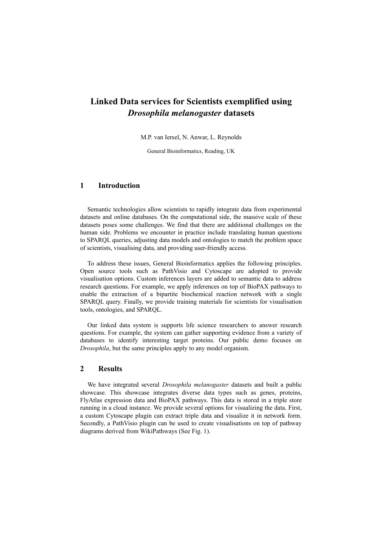## **Linked Data services for Scientists exemplified using** *Drosophila melanogaster* **datasets**

M.P. van Iersel, N. Anwar, L. Reynolds

General Bioinformatics, Reading, UK

## **1 Introduction**

Semantic technologies allow scientists to rapidly integrate data from experimental datasets and online databases. On the computational side, the massive scale of these datasets poses some challenges. We find that there are additional challenges on the human side. Problems we encounter in practice include translating human questions to SPARQL queries, adjusting data models and ontologies to match the problem space of scientists, visualising data, and providing user-friendly access.

To address these issues, General Bioinformatics applies the following principles. Open source tools such as PathVisio and Cytoscape are adopted to provide visualisation options. Custom inferences layers are added to semantic data to address research questions. For example, we apply inferences on top of BioPAX pathways to enable the extraction of a bipartite biochemical reaction network with a single SPARQL query. Finally, we provide training materials for scientists for visualisation tools, ontologies, and SPARQL.

Our linked data system is supports life science researchers to answer research questions. For example, the system can gather supporting evidence from a variety of databases to identify interesting target proteins. Our public demo focuses on *Drosophila*, but the same principles apply to any model organism.

## **2 Results**

We have integrated several *Drosophila melanogaster* datasets and built a public showcase. This showcase integrates diverse data types such as genes, proteins, FlyAtlas expression data and BioPAX pathways. This data is stored in a triple store running in a cloud instance. We provide several options for visualizing the data. First, a custom Cytoscape plugin can extract triple data and visualize it in network form. Secondly, a PathVisio plugin can be used to create visualisations on top of pathway diagrams derived from WikiPathways (See Fig. 1).